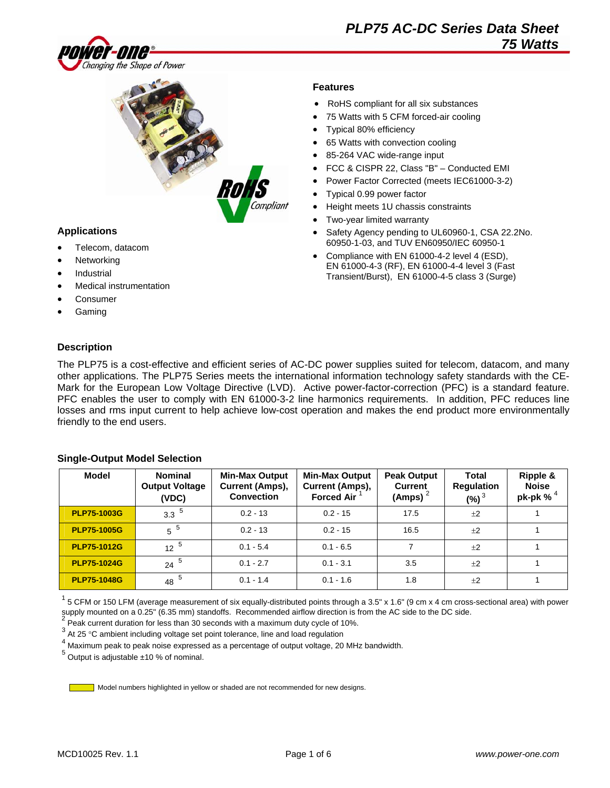



### **Applications**

- Telecom, datacom
- **Networking**
- **Industrial**
- Medical instrumentation
- **Consumer**
- Gaming

### **Features**

- RoHS compliant for all six substances
- 75 Watts with 5 CFM forced-air cooling
- Typical 80% efficiency
- 65 Watts with convection cooling
- 85-264 VAC wide-range input
- FCC & CISPR 22, Class "B" Conducted EMI
- Power Factor Corrected (meets IEC61000-3-2)
- Typical 0.99 power factor
- Height meets 1U chassis constraints
- Two-year limited warranty
- Safety Agency pending to UL60960-1, CSA 22.2No. 60950-1-03, and TUV EN60950/IEC 60950-1
- Compliance with EN 61000-4-2 level 4 (ESD), EN 61000-4-3 (RF), EN 61000-4-4 level 3 (Fast Transient/Burst), EN 61000-4-5 class 3 (Surge)

### **Description**

The PLP75 is a cost-effective and efficient series of AC-DC power supplies suited for telecom, datacom, and many other applications. The PLP75 Series meets the international information technology safety standards with the CE-Mark for the European Low Voltage Directive (LVD). Active power-factor-correction (PFC) is a standard feature. PFC enables the user to comply with EN 61000-3-2 line harmonics requirements. In addition, PFC reduces line losses and rms input current to help achieve low-cost operation and makes the end product more environmentally friendly to the end users.

| Model              | <b>Nominal</b><br><b>Output Voltage</b><br>(VDC) | <b>Min-Max Output</b><br>Current (Amps),<br><b>Convection</b> | <b>Min-Max Output</b><br>Current (Amps),<br><b>Forced Air</b> | <b>Peak Output</b><br><b>Current</b><br>(Amps) | <b>Total</b><br><b>Regulation</b><br>$(%)^3$ | Ripple &<br><b>Noise</b><br>pk-pk % |
|--------------------|--------------------------------------------------|---------------------------------------------------------------|---------------------------------------------------------------|------------------------------------------------|----------------------------------------------|-------------------------------------|
| <b>PLP75-1003G</b> | $3.3^{5}$                                        | $0.2 - 13$                                                    | $0.2 - 15$                                                    | 17.5                                           | ±2                                           |                                     |
| <b>PLP75-1005G</b> | $5^{5}$                                          | $0.2 - 13$                                                    | $0.2 - 15$                                                    | 16.5                                           | ±2                                           |                                     |
| <b>PLP75-1012G</b> | $12^{5}$                                         | $0.1 - 5.4$                                                   | $0.1 - 6.5$                                                   |                                                | $+2$                                         |                                     |
| <b>PLP75-1024G</b> | $24^{5}$                                         | $0.1 - 2.7$                                                   | $0.1 - 3.1$                                                   | 3.5                                            | $+2$                                         |                                     |
| <b>PLP75-1048G</b> | 48 $5$                                           | $0.1 - 1.4$                                                   | $0.1 - 1.6$                                                   | 1.8                                            | ±2                                           |                                     |

#### **Single-Output Model Selection**

 $^1$  5 CFM or 150 LFM (average measurement of six equally-distributed points through a 3.5" x 1.6" (9 cm x 4 cm cross-sectional area) with power supply mounted on a 0.25" (6.35 mm) standoffs. Recommended airflow direction is from the AC side to the DC side.

 $2 \overline{P}$  Peak current duration for less than 30 seconds with a maximum duty cycle of 10%.

 $3$  At 25 °C ambient including voltage set point tolerance, line and load regulation

4 Maximum peak to peak noise expressed as a percentage of output voltage, 20 MHz bandwidth.

 $<sup>5</sup>$  Output is adjustable  $±10$  % of nominal.</sup>

Model numbers highlighted in yellow or shaded are not recommended for new designs.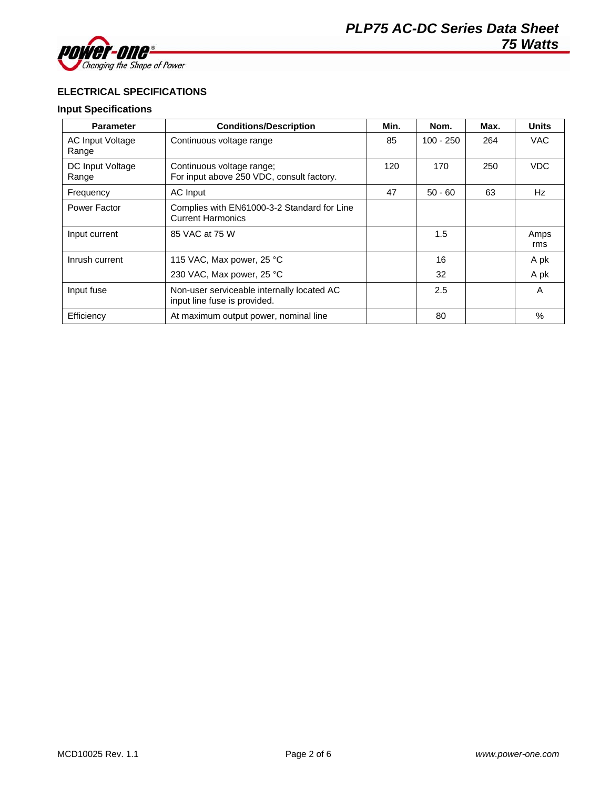

## **ELECTRICAL SPECIFICATIONS**

### **Input Specifications**

| <b>Parameter</b>                 | <b>Conditions/Description</b>                                              | Min. | Nom.        | Max. | <b>Units</b> |
|----------------------------------|----------------------------------------------------------------------------|------|-------------|------|--------------|
| <b>AC Input Voltage</b><br>Range | Continuous voltage range                                                   | 85   | $100 - 250$ | 264  | VAC.         |
| DC Input Voltage<br>Range        | Continuous voltage range;<br>For input above 250 VDC, consult factory.     | 120  | 170         | 250  | VDC.         |
| Frequency                        | AC Input                                                                   | 47   | $50 - 60$   | 63   | Hz           |
| Power Factor                     | Complies with EN61000-3-2 Standard for Line<br><b>Current Harmonics</b>    |      |             |      |              |
| Input current                    | 85 VAC at 75 W                                                             |      | 1.5         |      | Amps<br>rms  |
| Inrush current                   | 115 VAC, Max power, 25 °C                                                  |      | 16          |      | A pk         |
|                                  | 230 VAC, Max power, 25 °C                                                  |      | 32          |      | A pk         |
| Input fuse                       | Non-user serviceable internally located AC<br>input line fuse is provided. |      | 2.5         |      | A            |
| Efficiency                       | At maximum output power, nominal line                                      |      | 80          |      | %            |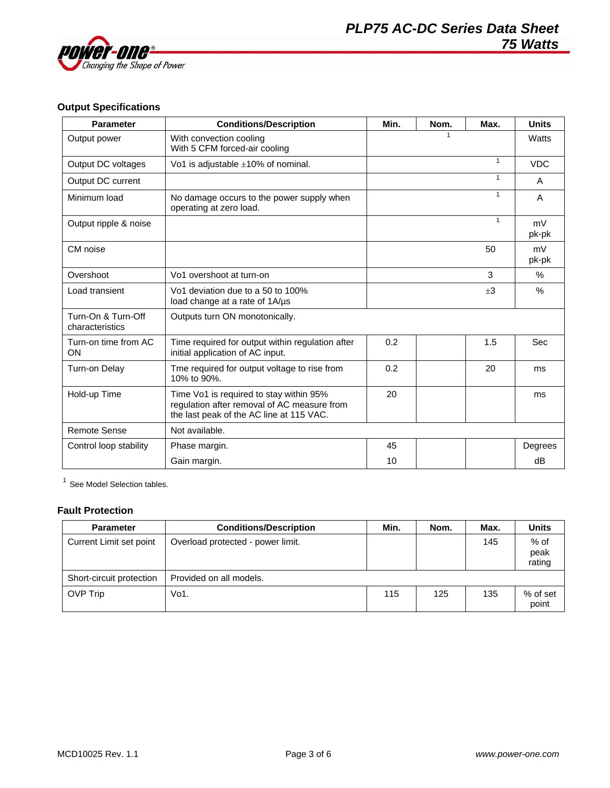

## **Output Specifications**

| <b>Parameter</b>                      | <b>Conditions/Description</b>                                                                                                      | Min. | Nom. | Max.         | <b>Units</b>  |
|---------------------------------------|------------------------------------------------------------------------------------------------------------------------------------|------|------|--------------|---------------|
| Output power                          | With convection cooling<br>With 5 CFM forced-air cooling                                                                           |      |      |              | Watts         |
| Output DC voltages                    | Vo1 is adjustable $\pm 10\%$ of nominal.                                                                                           |      |      | $\mathbf{1}$ | <b>VDC</b>    |
| Output DC current                     |                                                                                                                                    |      |      |              | A             |
| Minimum load                          | No damage occurs to the power supply when<br>operating at zero load.                                                               |      |      | $\mathbf{1}$ | A             |
| Output ripple & noise                 |                                                                                                                                    |      |      | $\mathbf{1}$ | mV<br>pk-pk   |
| CM noise                              |                                                                                                                                    |      |      | 50           | mV<br>pk-pk   |
| Overshoot                             | Vo1 overshoot at turn-on                                                                                                           |      |      | 3            | $\frac{0}{0}$ |
| Load transient                        | Vo1 deviation due to a 50 to 100%<br>load change at a rate of 1A/µs                                                                |      |      | $\pm 3$      | $\%$          |
| Turn-On & Turn-Off<br>characteristics | Outputs turn ON monotonically.                                                                                                     |      |      |              |               |
| Turn-on time from AC<br>ON            | Time required for output within regulation after<br>initial application of AC input.                                               | 0.2  |      | 1.5          | Sec           |
| Turn-on Delay                         | Tme required for output voltage to rise from<br>10% to 90%.                                                                        | 0.2  |      | 20           | ms            |
| Hold-up Time                          | Time Vo1 is required to stay within 95%<br>regulation after removal of AC measure from<br>the last peak of the AC line at 115 VAC. | 20   |      |              | ms            |
| <b>Remote Sense</b>                   | Not available.                                                                                                                     |      |      |              |               |
| Control loop stability                | Phase margin.                                                                                                                      | 45   |      |              | Degrees       |
|                                       | Gain margin.                                                                                                                       | 10   |      |              | dB            |

 $1$  See Model Selection tables.

### **Fault Protection**

| <b>Parameter</b>         | <b>Conditions/Description</b>     | Min. | Nom. | Max. | <b>Units</b>           |
|--------------------------|-----------------------------------|------|------|------|------------------------|
| Current Limit set point  | Overload protected - power limit. |      |      | 145  | % of<br>peak<br>rating |
| Short-circuit protection | Provided on all models.           |      |      |      |                        |
| <b>OVP Trip</b>          | Vo1.                              | 115  | 125  | 135  | % of set<br>point      |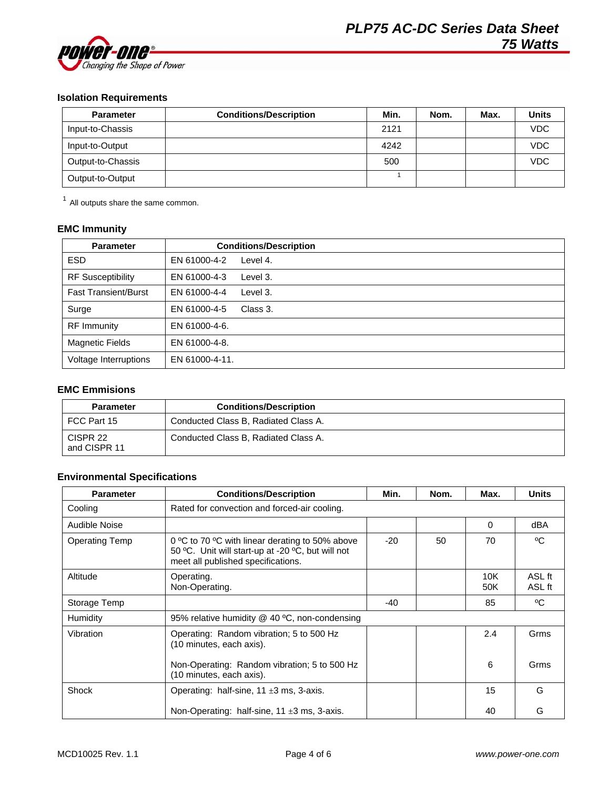

# **Isolation Requirements**

| <b>Parameter</b>  | <b>Conditions/Description</b> | Min. | Nom. | Max. | <b>Units</b> |
|-------------------|-------------------------------|------|------|------|--------------|
| Input-to-Chassis  |                               | 2121 |      |      | <b>VDC</b>   |
| Input-to-Output   |                               | 4242 |      |      | <b>VDC</b>   |
| Output-to-Chassis |                               | 500  |      |      | <b>VDC</b>   |
| Output-to-Output  |                               |      |      |      |              |

 $<sup>1</sup>$  All outputs share the same common.</sup>

## **EMC Immunity**

| <b>Parameter</b>            | <b>Conditions/Description</b> |
|-----------------------------|-------------------------------|
| <b>ESD</b>                  | Level 4.<br>EN 61000-4-2      |
| <b>RF Susceptibility</b>    | EN 61000-4-3<br>Level 3.      |
| <b>Fast Transient/Burst</b> | EN 61000-4-4<br>Level 3.      |
| Surge                       | EN 61000-4-5<br>Class 3.      |
| <b>RF</b> Immunity          | EN 61000-4-6.                 |
| <b>Magnetic Fields</b>      | EN 61000-4-8.                 |
| Voltage Interruptions       | EN 61000-4-11.                |

### **EMC Emmisions**

| <b>Parameter</b>         | <b>Conditions/Description</b>        |
|--------------------------|--------------------------------------|
| FCC Part 15              | Conducted Class B, Radiated Class A. |
| CISPR 22<br>and CISPR 11 | Conducted Class B, Radiated Class A. |

## **Environmental Specifications**

| <b>Parameter</b>      | <b>Conditions/Description</b>                                                                                                              | Min.  | Nom. | Max.       | <b>Units</b>     |
|-----------------------|--------------------------------------------------------------------------------------------------------------------------------------------|-------|------|------------|------------------|
| Cooling               | Rated for convection and forced-air cooling.                                                                                               |       |      |            |                  |
| Audible Noise         |                                                                                                                                            |       |      | $\Omega$   | dBA              |
| <b>Operating Temp</b> | 0 °C to 70 °C with linear derating to 50% above<br>50 °C. Unit will start-up at -20 °C, but will not<br>meet all published specifications. | $-20$ | 50   | 70         | °C               |
| Altitude              | Operating.<br>Non-Operating.                                                                                                               |       |      | 10K<br>50K | ASL ft<br>ASL ft |
| Storage Temp          |                                                                                                                                            | $-40$ |      | 85         | °C               |
| Humidity              | 95% relative humidity @ 40 °C, non-condensing                                                                                              |       |      |            |                  |
| Vibration             | Operating: Random vibration; 5 to 500 Hz<br>(10 minutes, each axis).                                                                       |       |      | 2.4        | Grms             |
|                       | Non-Operating: Random vibration; 5 to 500 Hz<br>(10 minutes, each axis).                                                                   |       |      | 6          | Grms             |
| Shock                 | Operating: half-sine, $11 \pm 3$ ms, 3-axis.                                                                                               |       |      | 15         | G                |
|                       | Non-Operating: half-sine, $11 \pm 3$ ms, 3-axis.                                                                                           |       |      | 40         | G                |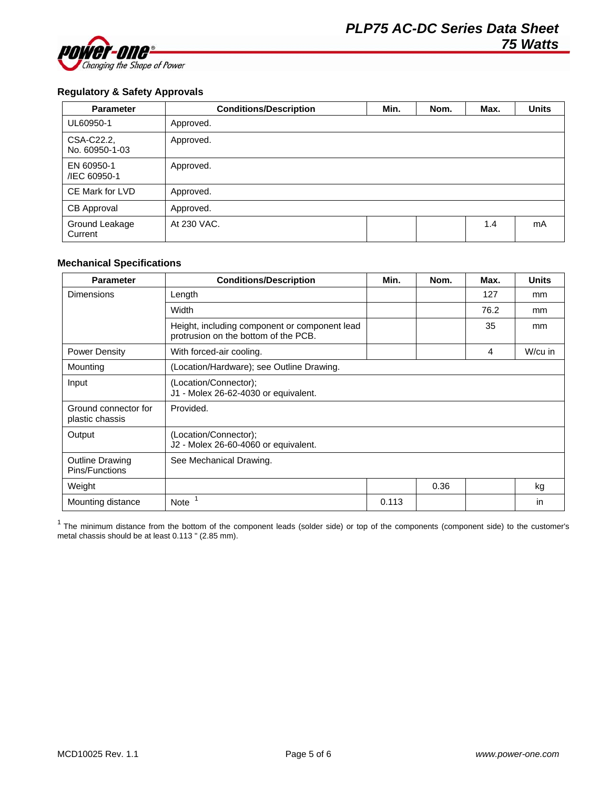

### **Regulatory & Safety Approvals**

| <b>Parameter</b>             | <b>Conditions/Description</b> | Min. | Nom. | Max. | <b>Units</b> |
|------------------------------|-------------------------------|------|------|------|--------------|
| UL60950-1                    | Approved.                     |      |      |      |              |
| CSA-C22.2,<br>No. 60950-1-03 | Approved.                     |      |      |      |              |
| EN 60950-1<br>/IEC 60950-1   | Approved.                     |      |      |      |              |
| CE Mark for LVD              | Approved.                     |      |      |      |              |
| CB Approval                  | Approved.                     |      |      |      |              |
| Ground Leakage<br>Current    | At 230 VAC.                   |      |      | 1.4  | mA           |

### **Mechanical Specifications**

| <b>Parameter</b>                         | <b>Conditions/Description</b>                                                         | Min.  | Nom. | Max. | <b>Units</b> |
|------------------------------------------|---------------------------------------------------------------------------------------|-------|------|------|--------------|
| <b>Dimensions</b>                        | Length                                                                                |       |      | 127  | mm           |
|                                          | Width                                                                                 |       |      | 76.2 | mm           |
|                                          | Height, including component or component lead<br>protrusion on the bottom of the PCB. |       |      | 35   | mm           |
| <b>Power Density</b>                     | With forced-air cooling.                                                              |       |      | 4    | W/cu in      |
| Mounting                                 | (Location/Hardware); see Outline Drawing.                                             |       |      |      |              |
| Input                                    | (Location/Connector);<br>J1 - Molex 26-62-4030 or equivalent.                         |       |      |      |              |
| Ground connector for<br>plastic chassis  | Provided.                                                                             |       |      |      |              |
| Output                                   | (Location/Connector);<br>J2 - Molex 26-60-4060 or equivalent.                         |       |      |      |              |
| <b>Outline Drawing</b><br>Pins/Functions | See Mechanical Drawing.                                                               |       |      |      |              |
| Weight                                   |                                                                                       |       | 0.36 |      | kg           |
| Mounting distance                        | <b>Note</b>                                                                           | 0.113 |      |      | in           |

 $1$  The minimum distance from the bottom of the component leads (solder side) or top of the components (component side) to the customer's metal chassis should be at least 0.113 " (2.85 mm).